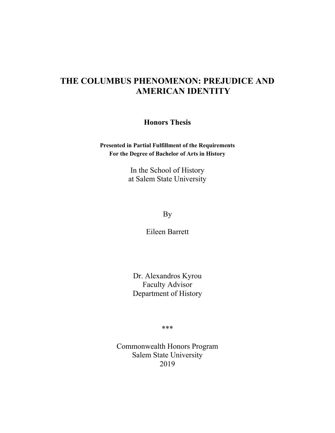# **THE COLUMBUS PHENOMENON: PREJUDICE AND AMERICAN IDENTITY**

**Honors Thesis**

**Presented in Partial Fulfillment of the Requirements For the Degree of Bachelor of Arts in History**

> In the School of History at Salem State University

> > By

Eileen Barrett

Dr. Alexandros Kyrou Faculty Advisor Department of History

\*\*\*

Commonwealth Honors Program Salem State University 2019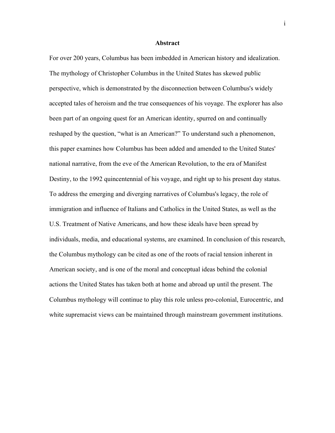#### **Abstract**

For over 200 years, Columbus has been imbedded in American history and idealization. The mythology of Christopher Columbus in the United States has skewed public perspective, which is demonstrated by the disconnection between Columbus's widely accepted tales of heroism and the true consequences of his voyage. The explorer has also been part of an ongoing quest for an American identity, spurred on and continually reshaped by the question, "what is an American?" To understand such a phenomenon, this paper examines how Columbus has been added and amended to the United States' national narrative, from the eve of the American Revolution, to the era of Manifest Destiny, to the 1992 quincentennial of his voyage, and right up to his present day status. To address the emerging and diverging narratives of Columbus's legacy, the role of immigration and influence of Italians and Catholics in the United States, as well as the U.S. Treatment of Native Americans, and how these ideals have been spread by individuals, media, and educational systems, are examined. In conclusion of this research, the Columbus mythology can be cited as one of the roots of racial tension inherent in American society, and is one of the moral and conceptual ideas behind the colonial actions the United States has taken both at home and abroad up until the present. The Columbus mythology will continue to play this role unless pro-colonial, Eurocentric, and white supremacist views can be maintained through mainstream government institutions.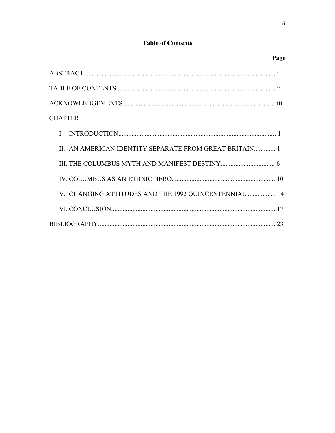## **Table of Contents**

| <b>CHAPTER</b>                                         |  |
|--------------------------------------------------------|--|
|                                                        |  |
| II. AN AMERICAN IDENTITY SEPARATE FROM GREAT BRITAIN 1 |  |
|                                                        |  |
|                                                        |  |
| V. CHANGING ATTITUDES AND THE 1992 QUINCENTENNIAL 14   |  |
|                                                        |  |
|                                                        |  |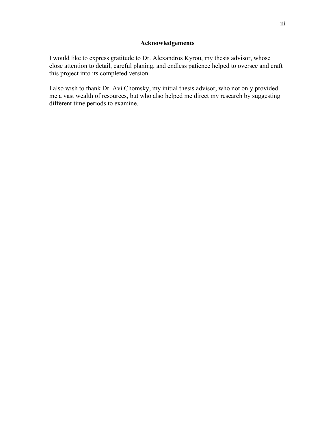### **Acknowledgements**

I would like to express gratitude to Dr. Alexandros Kyrou, my thesis advisor, whose close attention to detail, careful planing, and endless patience helped to oversee and craft this project into its completed version.

I also wish to thank Dr. Avi Chomsky, my initial thesis advisor, who not only provided me a vast wealth of resources, but who also helped me direct my research by suggesting different time periods to examine.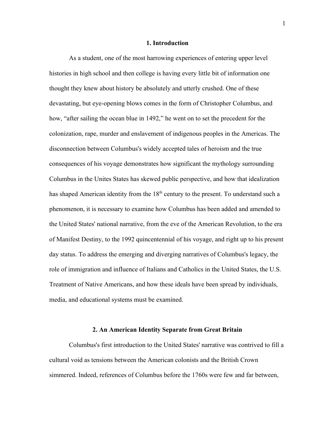#### **1. Introduction**

As a student, one of the most harrowing experiences of entering upper level histories in high school and then college is having every little bit of information one thought they knew about history be absolutely and utterly crushed. One of these devastating, but eye-opening blows comes in the form of Christopher Columbus, and how, "after sailing the ocean blue in 1492," he went on to set the precedent for the colonization, rape, murder and enslavement of indigenous peoples in the Americas. The disconnection between Columbus's widely accepted tales of heroism and the true consequences of his voyage demonstrates how significant the mythology surrounding Columbus in the Unites States has skewed public perspective, and how that idealization has shaped American identity from the  $18<sup>th</sup>$  century to the present. To understand such a phenomenon, it is necessary to examine how Columbus has been added and amended to the United States' national narrative, from the eve of the American Revolution, to the era of Manifest Destiny, to the 1992 quincentennial of his voyage, and right up to his present day status. To address the emerging and diverging narratives of Columbus's legacy, the role of immigration and influence of Italians and Catholics in the United States, the U.S. Treatment of Native Americans, and how these ideals have been spread by individuals, media, and educational systems must be examined.

#### **2. An American Identity Separate from Great Britain**

Columbus's first introduction to the United States' narrative was contrived to fill a cultural void as tensions between the American colonists and the British Crown simmered. Indeed, references of Columbus before the 1760s were few and far between,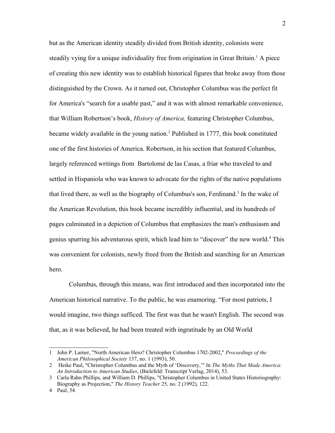but as the American identity steadily divided from British identity, colonists were steadily vying for a unique individuality free from origination in Great Britain.<sup>[1](#page-5-0)</sup> A piece of creating this new identity was to establish historical figures that broke away from those distinguished by the Crown. As it turned out, Christopher Columbus was the perfect fit for America's "search for a usable past," and it was with almost remarkable convenience, that William Robertson's book, *History of America,* featuring Christopher Columbus, became widely available in the young nation.[2](#page-5-1) Published in 1777, this book constituted one of the first histories of America. Robertson, in his section that featured Columbus, largely referenced writings from Bartolomé de las Casas, a friar who traveled to and settled in Hispaniola who was known to advocate for the rights of the native populations that lived there, as well as the biography of Columbus's son, Ferdinand.<sup>[3](#page-5-2)</sup> In the wake of the American Revolution, this book became incredibly influential, and its hundreds of pages culminated in a depiction of Columbus that emphasizes the man's enthusiasm and genius spurring his adventurous spirit, which lead him to "discover" the new world.<sup>[4](#page-5-3)</sup> This was convenient for colonists, newly freed from the British and searching for an American hero.

Columbus, through this means, was first introduced and then incorporated into the American historical narrative. To the public, he was enamoring. "For most patriots, I would imagine, two things sufficed. The first was that he wasn't English. The second was that, as it was believed, he had been treated with ingratitude by an Old World

<span id="page-5-0"></span><sup>1</sup> John P. Larner, "North American Hero? Christopher Columbus 1702-2002," *Proceedings of the American Philosophical Society* 137, no. 1 (1993), 50.

<span id="page-5-1"></span><sup>2</sup> Heike Paul, "Christopher Columbus and the Myth of 'Discovery,'" In *The Myths That Made America: An Introduction to American Studies*, (Bielefeld: Transcript Verlag, 2014), 53.

<span id="page-5-2"></span><sup>3</sup> Carla Rahn Phillips, and William D. Phillips, "Christopher Columbus in United States Historiography: Biography as Projection," *The History Teacher* 25, no. 2 (1992), 122.

<span id="page-5-3"></span><sup>4</sup> Paul, 54.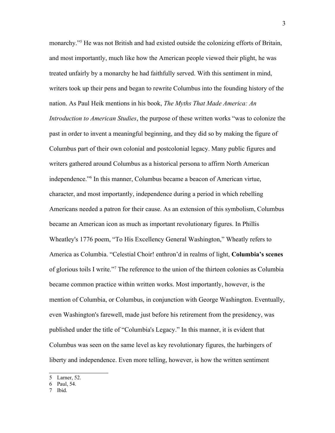monarchy."<sup>[5](#page-6-0)</sup> He was not British and had existed outside the colonizing efforts of Britain, and most importantly, much like how the American people viewed their plight, he was treated unfairly by a monarchy he had faithfully served. With this sentiment in mind, writers took up their pens and began to rewrite Columbus into the founding history of the nation. As Paul Heik mentions in his book, *The Myths That Made America: An Introduction to American Studies*, the purpose of these written works "was to colonize the past in order to invent a meaningful beginning, and they did so by making the figure of Columbus part of their own colonial and postcolonial legacy. Many public figures and writers gathered around Columbus as a historical persona to affirm North American independence."[6](#page-6-1) In this manner, Columbus became a beacon of American virtue, character, and most importantly, independence during a period in which rebelling Americans needed a patron for their cause. As an extension of this symbolism, Columbus became an American icon as much as important revolutionary figures. In Phillis Wheatley's 1776 poem, "To His Excellency General Washington," Wheatly refers to America as Columbia. "Celestial Choir! enthron'd in realms of light, **Columbia's scenes**  of glorious toils I write."[7](#page-6-2) The reference to the union of the thirteen colonies as Columbia became common practice within written works. Most importantly, however, is the mention of Columbia, or Columbus, in conjunction with George Washington. Eventually, even Washington's farewell, made just before his retirement from the presidency, was published under the title of "Columbia's Legacy." In this manner, it is evident that Columbus was seen on the same level as key revolutionary figures, the harbingers of liberty and independence. Even more telling, however, is how the written sentiment

<span id="page-6-0"></span><sup>5</sup> Larner, 52.

<span id="page-6-1"></span><sup>6</sup> Paul, 54.

<span id="page-6-2"></span><sup>7</sup> Ibid.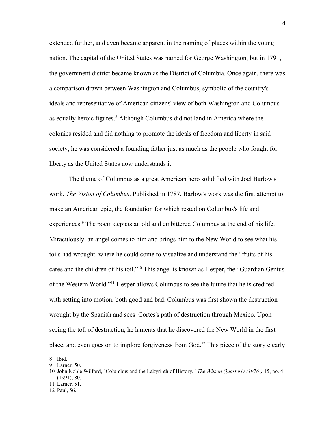extended further, and even became apparent in the naming of places within the young nation. The capital of the United States was named for George Washington, but in 1791, the government district became known as the District of Columbia. Once again, there was a comparison drawn between Washington and Columbus, symbolic of the country's ideals and representative of American citizens' view of both Washington and Columbus as equally heroic figures.<sup>[8](#page-7-0)</sup> Although Columbus did not land in America where the colonies resided and did nothing to promote the ideals of freedom and liberty in said society, he was considered a founding father just as much as the people who fought for liberty as the United States now understands it.

The theme of Columbus as a great American hero solidified with Joel Barlow's work, *The Vision of Columbus*. Published in 1787, Barlow's work was the first attempt to make an American epic, the foundation for which rested on Columbus's life and experiences.<sup>[9](#page-7-1)</sup> The poem depicts an old and embittered Columbus at the end of his life. Miraculously, an angel comes to him and brings him to the New World to see what his toils had wrought, where he could come to visualize and understand the "fruits of his cares and the children of his toil."[10](#page-7-2) This angel is known as Hesper, the "Guardian Genius of the Western World."[11](#page-7-3) Hesper allows Columbus to see the future that he is credited with setting into motion, both good and bad. Columbus was first shown the destruction wrought by the Spanish and sees Cortes's path of destruction through Mexico. Upon seeing the toll of destruction, he laments that he discovered the New World in the first place, and even goes on to implore forgiveness from God.[12](#page-7-4) This piece of the story clearly

<span id="page-7-3"></span>11 Larner, 51.

<span id="page-7-0"></span><sup>8</sup> Ibid.

<span id="page-7-1"></span><sup>9</sup> Larner, 50.

<span id="page-7-2"></span><sup>10</sup> John Noble Wilford, "Columbus and the Labyrinth of History," *The Wilson Quarterly (1976-)* 15, no. 4 (1991), 80.

<span id="page-7-4"></span><sup>12</sup> Paul, 56.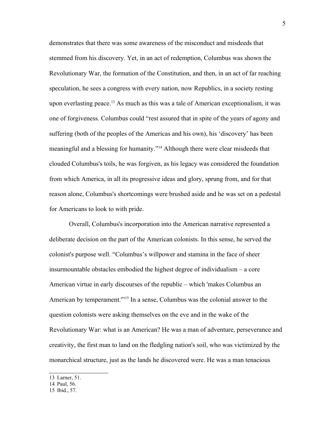demonstrates that there was some awareness of the misconduct and misdeeds that stemmed from his discovery. Yet, in an act of redemption, Columbus was shown the Revolutionary War, the formation of the Constitution, and then, in an act of far reaching speculation, he sees a congress with every nation, now Republics, in a society resting upon everlasting peace.<sup>[13](#page-8-0)</sup> As much as this was a tale of American exceptionalism, it was one of forgiveness. Columbus could "rest assured that in spite of the years of agony and suffering (both of the peoples of the Americas and his own), his 'discovery' has been meaningful and a blessing for humanity."[14](#page-8-1) Although there were clear misdeeds that clouded Columbus's toils, he was forgiven, as his legacy was considered the foundation from which America, in all its progressive ideas and glory, sprung from, and for that reason alone, Columbus's shortcomings were brushed aside and he was set on a pedestal for Americans to look to with pride.

Overall, Columbus's incorporation into the American narrative represented a deliberate decision on the part of the American colonists. In this sense, he served the colonist's purpose well. "Columbus's willpower and stamina in the face of sheer insurmountable obstacles embodied the highest degree of individualism – a core American virtue in early discourses of the republic – which 'makes Columbus an American by temperament.'"[15](#page-8-2) In a sense, Columbus was the colonial answer to the question colonists were asking themselves on the eve and in the wake of the Revolutionary War: what is an American? He was a man of adventure, perseverance and creativity, the first man to land on the fledgling nation's soil, who was victimized by the monarchical structure, just as the lands he discovered were. He was a man tenacious

<span id="page-8-0"></span>13 Larner, 51.

<span id="page-8-1"></span><sup>14</sup> Paul, 56.

<span id="page-8-2"></span><sup>15</sup> Ibid., 57.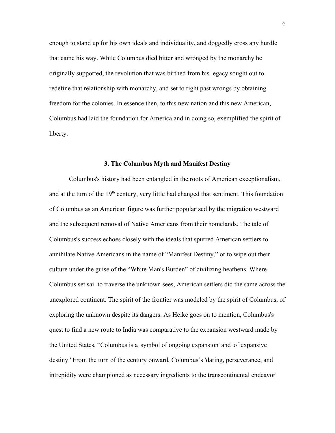enough to stand up for his own ideals and individuality, and doggedly cross any hurdle that came his way. While Columbus died bitter and wronged by the monarchy he originally supported, the revolution that was birthed from his legacy sought out to redefine that relationship with monarchy, and set to right past wrongs by obtaining freedom for the colonies. In essence then, to this new nation and this new American, Columbus had laid the foundation for America and in doing so, exemplified the spirit of liberty.

#### **3. The Columbus Myth and Manifest Destiny**

Columbus's history had been entangled in the roots of American exceptionalism, and at the turn of the 19<sup>th</sup> century, very little had changed that sentiment. This foundation of Columbus as an American figure was further popularized by the migration westward and the subsequent removal of Native Americans from their homelands. The tale of Columbus's success echoes closely with the ideals that spurred American settlers to annihilate Native Americans in the name of "Manifest Destiny," or to wipe out their culture under the guise of the "White Man's Burden" of civilizing heathens. Where Columbus set sail to traverse the unknown sees, American settlers did the same across the unexplored continent. The spirit of the frontier was modeled by the spirit of Columbus, of exploring the unknown despite its dangers. As Heike goes on to mention, Columbus's quest to find a new route to India was comparative to the expansion westward made by the United States. "Columbus is a 'symbol of ongoing expansion' and 'of expansive destiny.' From the turn of the century onward, Columbus's 'daring, perseverance, and intrepidity were championed as necessary ingredients to the transcontinental endeavor'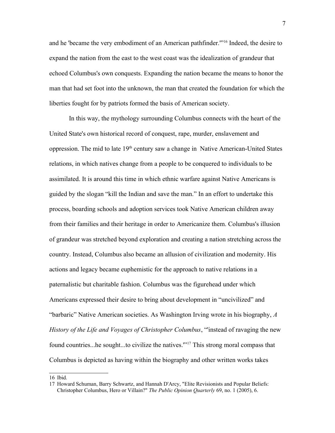and he 'became the very embodiment of an American pathfinder.'"[16](#page-10-0) Indeed, the desire to expand the nation from the east to the west coast was the idealization of grandeur that echoed Columbus's own conquests. Expanding the nation became the means to honor the man that had set foot into the unknown, the man that created the foundation for which the liberties fought for by patriots formed the basis of American society.

In this way, the mythology surrounding Columbus connects with the heart of the United State's own historical record of conquest, rape, murder, enslavement and oppression. The mid to late 19<sup>th</sup> century saw a change in Native American-United States relations, in which natives change from a people to be conquered to individuals to be assimilated. It is around this time in which ethnic warfare against Native Americans is guided by the slogan "kill the Indian and save the man." In an effort to undertake this process, boarding schools and adoption services took Native American children away from their families and their heritage in order to Americanize them. Columbus's illusion of grandeur was stretched beyond exploration and creating a nation stretching across the country. Instead, Columbus also became an allusion of civilization and modernity. His actions and legacy became euphemistic for the approach to native relations in a paternalistic but charitable fashion. Columbus was the figurehead under which Americans expressed their desire to bring about development in "uncivilized" and "barbaric" Native American societies. As Washington Irving wrote in his biography, *A History of the Life and Voyages of Christopher Columbus*, "'instead of ravaging the new found countries...he sought...to civilize the natives.'"[17](#page-10-1) This strong moral compass that Columbus is depicted as having within the biography and other written works takes

<span id="page-10-0"></span>16 Ibid.

<span id="page-10-1"></span><sup>17</sup> Howard Schuman, Barry Schwartz, and Hannah D'Arcy, "Elite Revisionists and Popular Beliefs: Christopher Columbus, Hero or Villain?" *The Public Opinion Quarterly* 69, no. 1 (2005), 6.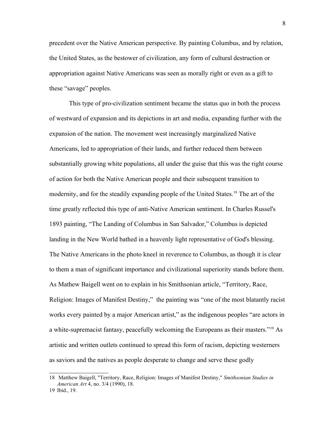precedent over the Native American perspective. By painting Columbus, and by relation, the United States, as the bestower of civilization, any form of cultural destruction or appropriation against Native Americans was seen as morally right or even as a gift to these "savage" peoples.

This type of pro-civilization sentiment became the status quo in both the process of westward of expansion and its depictions in art and media, expanding further with the expansion of the nation. The movement west increasingly marginalized Native Americans, led to appropriation of their lands, and further reduced them between substantially growing white populations, all under the guise that this was the right course of action for both the Native American people and their subsequent transition to modernity, and for the steadily expanding people of the United States.<sup>[18](#page-11-0)</sup> The art of the time greatly reflected this type of anti-Native American sentiment. In Charles Russel's 1893 painting, "The Landing of Columbus in San Salvador," Columbus is depicted landing in the New World bathed in a heavenly light representative of God's blessing. The Native Americans in the photo kneel in reverence to Columbus, as though it is clear to them a man of significant importance and civilizational superiority stands before them. As Mathew Baigell went on to explain in his Smithsonian article, "Territory, Race, Religion: Images of Manifest Destiny,"the painting was "one of the most blatantly racist works every painted by a major American artist," as the indigenous peoples "are actors in a white-supremacist fantasy, peacefully welcoming the Europeans as their masters."[19](#page-11-1) As artistic and written outlets continued to spread this form of racism, depicting westerners as saviors and the natives as people desperate to change and serve these godly

<span id="page-11-0"></span><sup>18</sup> Matthew Baigell, "Territory, Race, Religion: Images of Manifest Destiny," *Smithsonian Studies in American Art* 4, no. 3/4 (1990), 18.

<span id="page-11-1"></span><sup>19</sup> Ibid., 19.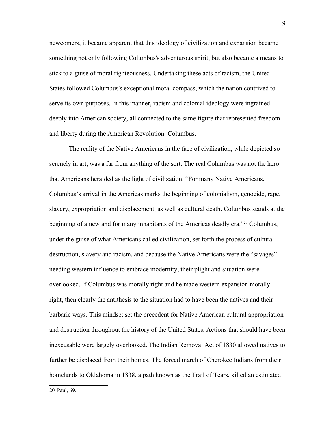newcomers, it became apparent that this ideology of civilization and expansion became something not only following Columbus's adventurous spirit, but also became a means to stick to a guise of moral righteousness. Undertaking these acts of racism, the United States followed Columbus's exceptional moral compass, which the nation contrived to serve its own purposes. In this manner, racism and colonial ideology were ingrained deeply into American society, all connected to the same figure that represented freedom and liberty during the American Revolution: Columbus.

The reality of the Native Americans in the face of civilization, while depicted so serenely in art, was a far from anything of the sort. The real Columbus was not the hero that Americans heralded as the light of civilization. "For many Native Americans, Columbus's arrival in the Americas marks the beginning of colonialism, genocide, rape, slavery, expropriation and displacement, as well as cultural death. Columbus stands at the beginning of a new and for many inhabitants of the Americas deadly era."[20](#page-12-0) Columbus, under the guise of what Americans called civilization, set forth the process of cultural destruction, slavery and racism, and because the Native Americans were the "savages" needing western influence to embrace modernity, their plight and situation were overlooked. If Columbus was morally right and he made western expansion morally right, then clearly the antithesis to the situation had to have been the natives and their barbaric ways. This mindset set the precedent for Native American cultural appropriation and destruction throughout the history of the United States. Actions that should have been inexcusable were largely overlooked. The Indian Removal Act of 1830 allowed natives to further be displaced from their homes. The forced march of Cherokee Indians from their homelands to Oklahoma in 1838, a path known as the Trail of Tears, killed an estimated

<span id="page-12-0"></span>20 Paul, 69.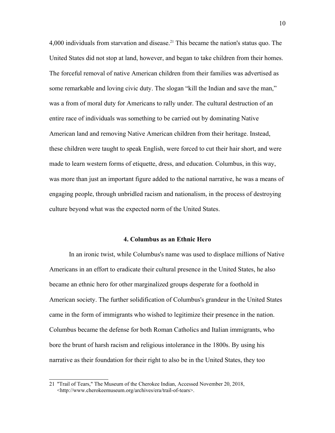4,000 individuals from starvation and disease.<sup>[21](#page-13-0)</sup> This became the nation's status quo. The United States did not stop at land, however, and began to take children from their homes. The forceful removal of native American children from their families was advertised as some remarkable and loving civic duty. The slogan "kill the Indian and save the man," was a from of moral duty for Americans to rally under. The cultural destruction of an entire race of individuals was something to be carried out by dominating Native American land and removing Native American children from their heritage. Instead, these children were taught to speak English, were forced to cut their hair short, and were made to learn western forms of etiquette, dress, and education. Columbus, in this way, was more than just an important figure added to the national narrative, he was a means of engaging people, through unbridled racism and nationalism, in the process of destroying culture beyond what was the expected norm of the United States.

#### **4. Columbus as an Ethnic Hero**

In an ironic twist, while Columbus's name was used to displace millions of Native Americans in an effort to eradicate their cultural presence in the United States, he also became an ethnic hero for other marginalized groups desperate for a foothold in American society. The further solidification of Columbus's grandeur in the United States came in the form of immigrants who wished to legitimize their presence in the nation. Columbus became the defense for both Roman Catholics and Italian immigrants, who bore the brunt of harsh racism and religious intolerance in the 1800s. By using his narrative as their foundation for their right to also be in the United States, they too

<span id="page-13-0"></span><sup>21</sup> "Trail of Tears," The Museum of the Cherokee Indian, Accessed November 20, 2018, <http://www.cherokeemuseum.org/archives/era/trail-of-tears>.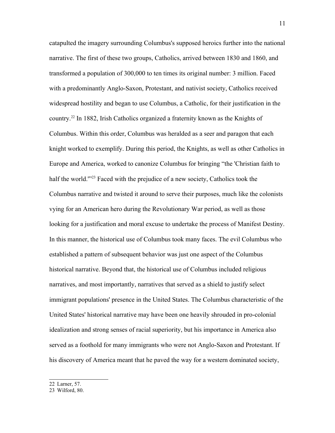catapulted the imagery surrounding Columbus's supposed heroics further into the national narrative. The first of these two groups, Catholics, arrived between 1830 and 1860, and transformed a population of 300,000 to ten times its original number: 3 million. Faced with a predominantly Anglo-Saxon, Protestant, and nativist society, Catholics received widespread hostility and began to use Columbus, a Catholic, for their justification in the country.[22](#page-14-0) In 1882, Irish Catholics organized a fraternity known as the Knights of Columbus. Within this order, Columbus was heralded as a seer and paragon that each knight worked to exemplify. During this period, the Knights, as well as other Catholics in Europe and America, worked to canonize Columbus for bringing "the 'Christian faith to half the world."<sup>[23](#page-14-1)</sup> Faced with the prejudice of a new society, Catholics took the Columbus narrative and twisted it around to serve their purposes, much like the colonists vying for an American hero during the Revolutionary War period, as well as those looking for a justification and moral excuse to undertake the process of Manifest Destiny. In this manner, the historical use of Columbus took many faces. The evil Columbus who established a pattern of subsequent behavior was just one aspect of the Columbus historical narrative. Beyond that, the historical use of Columbus included religious narratives, and most importantly, narratives that served as a shield to justify select immigrant populations' presence in the United States. The Columbus characteristic of the United States' historical narrative may have been one heavily shrouded in pro-colonial idealization and strong senses of racial superiority, but his importance in America also served as a foothold for many immigrants who were not Anglo-Saxon and Protestant. If his discovery of America meant that he paved the way for a western dominated society,

<span id="page-14-0"></span>22 Larner, 57.

<span id="page-14-1"></span>23 Wilford, 80.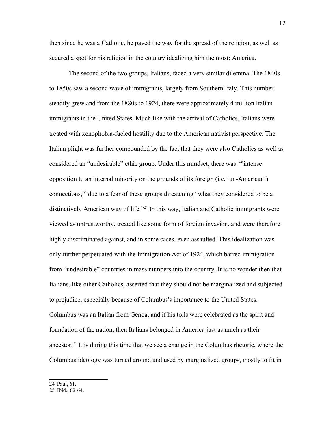then since he was a Catholic, he paved the way for the spread of the religion, as well as secured a spot for his religion in the country idealizing him the most: America.

The second of the two groups, Italians, faced a very similar dilemma. The 1840s to 1850s saw a second wave of immigrants, largely from Southern Italy. This number steadily grew and from the 1880s to 1924, there were approximately 4 million Italian immigrants in the United States. Much like with the arrival of Catholics, Italians were treated with xenophobia-fueled hostility due to the American nativist perspective. The Italian plight was further compounded by the fact that they were also Catholics as well as considered an "undesirable" ethic group. Under this mindset, there was "'intense opposition to an internal minority on the grounds of its foreign (i.e. 'un-American') connections,'" due to a fear of these groups threatening "what they considered to be a distinctively American way of life."<sup>[24](#page-15-0)</sup> In this way, Italian and Catholic immigrants were viewed as untrustworthy, treated like some form of foreign invasion, and were therefore highly discriminated against, and in some cases, even assaulted. This idealization was only further perpetuated with the Immigration Act of 1924, which barred immigration from "undesirable" countries in mass numbers into the country. It is no wonder then that Italians, like other Catholics, asserted that they should not be marginalized and subjected to prejudice, especially because of Columbus's importance to the United States. Columbus was an Italian from Genoa, and if his toils were celebrated as the spirit and foundation of the nation, then Italians belonged in America just as much as their ancestor.<sup>[25](#page-15-1)</sup> It is during this time that we see a change in the Columbus rhetoric, where the Columbus ideology was turned around and used by marginalized groups, mostly to fit in

<span id="page-15-0"></span>24 Paul, 61.

<span id="page-15-1"></span><sup>25</sup> Ibid., 62-64.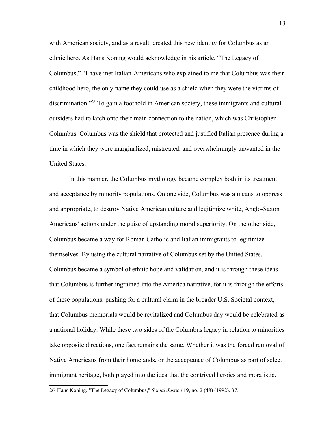with American society, and as a result, created this new identity for Columbus as an ethnic hero. As Hans Koning would acknowledge in his article, "The Legacy of Columbus," "I have met Italian-Americans who explained to me that Columbus was their childhood hero, the only name they could use as a shield when they were the victims of discrimination."[26](#page-16-0) To gain a foothold in American society, these immigrants and cultural outsiders had to latch onto their main connection to the nation, which was Christopher Columbus. Columbus was the shield that protected and justified Italian presence during a time in which they were marginalized, mistreated, and overwhelmingly unwanted in the United States.

In this manner, the Columbus mythology became complex both in its treatment and acceptance by minority populations. On one side, Columbus was a means to oppress and appropriate, to destroy Native American culture and legitimize white, Anglo-Saxon Americans' actions under the guise of upstanding moral superiority. On the other side, Columbus became a way for Roman Catholic and Italian immigrants to legitimize themselves. By using the cultural narrative of Columbus set by the United States, Columbus became a symbol of ethnic hope and validation, and it is through these ideas that Columbus is further ingrained into the America narrative, for it is through the efforts of these populations, pushing for a cultural claim in the broader U.S. Societal context, that Columbus memorials would be revitalized and Columbus day would be celebrated as a national holiday. While these two sides of the Columbus legacy in relation to minorities take opposite directions, one fact remains the same. Whether it was the forced removal of Native Americans from their homelands, or the acceptance of Columbus as part of select immigrant heritage, both played into the idea that the contrived heroics and moralistic,

<span id="page-16-0"></span><sup>26</sup> Hans Koning, "The Legacy of Columbus," *Social Justice* 19, no. 2 (48) (1992), 37.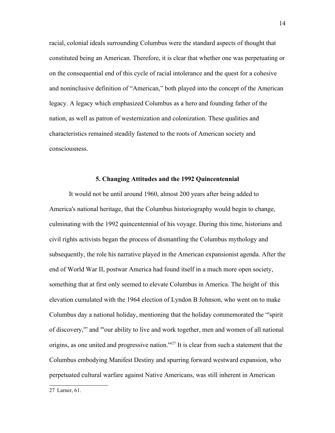racial, colonial ideals surrounding Columbus were the standard aspects of thought that constituted being an American. Therefore, it is clear that whether one was perpetuating or on the consequential end of this cycle of racial intolerance and the quest for a cohesive and noninclusive definition of "American," both played into the concept of the American legacy. A legacy which emphasized Columbus as a hero and founding father of the nation, as well as patron of westernization and colonization. These qualities and characteristics remained steadily fastened to the roots of American society and consciousness.

#### **5. Changing Attitudes and the 1992 Quincentennial**

It would not be until around 1960, almost 200 years after being added to America's national heritage, that the Columbus historiography would begin to change, culminating with the 1992 quincentennial of his voyage. During this time, historians and civil rights activists began the process of dismantling the Columbus mythology and subsequently, the role his narrative played in the American expansionist agenda. After the end of World War II, postwar America had found itself in a much more open society, something that at first only seemed to elevate Columbus in America. The height of this elevation cumulated with the 1964 election of Lyndon B Johnson, who went on to make Columbus day a national holiday, mentioning that the holiday commemorated the "'spirit of discovery,'" and "'our ability to live and work together, men and women of all national origins, as one united and progressive nation."<sup>[27](#page-17-0)</sup> It is clear from such a statement that the Columbus embodying Manifest Destiny and spurring forward westward expansion, who perpetuated cultural warfare against Native Americans, was still inherent in American

<span id="page-17-0"></span>27 Larner, 61.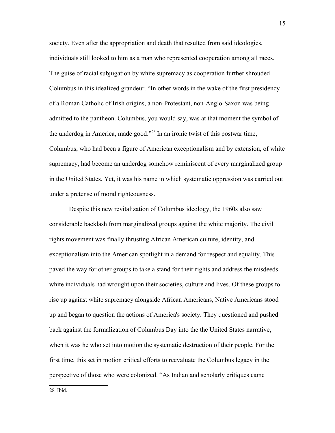society. Even after the appropriation and death that resulted from said ideologies, individuals still looked to him as a man who represented cooperation among all races. The guise of racial subjugation by white supremacy as cooperation further shrouded Columbus in this idealized grandeur. "In other words in the wake of the first presidency of a Roman Catholic of Irish origins, a non-Protestant, non-Anglo-Saxon was being admitted to the pantheon. Columbus, you would say, was at that moment the symbol of the underdog in America, made good."[28](#page-18-0) In an ironic twist of this postwar time, Columbus, who had been a figure of American exceptionalism and by extension, of white supremacy, had become an underdog somehow reminiscent of every marginalized group in the United States. Yet, it was his name in which systematic oppression was carried out under a pretense of moral righteousness.

Despite this new revitalization of Columbus ideology, the 1960s also saw considerable backlash from marginalized groups against the white majority. The civil rights movement was finally thrusting African American culture, identity, and exceptionalism into the American spotlight in a demand for respect and equality. This paved the way for other groups to take a stand for their rights and address the misdeeds white individuals had wrought upon their societies, culture and lives. Of these groups to rise up against white supremacy alongside African Americans, Native Americans stood up and began to question the actions of America's society. They questioned and pushed back against the formalization of Columbus Day into the the United States narrative, when it was he who set into motion the systematic destruction of their people. For the first time, this set in motion critical efforts to reevaluate the Columbus legacy in the perspective of those who were colonized. "As Indian and scholarly critiques came

<span id="page-18-0"></span>28 Ibid.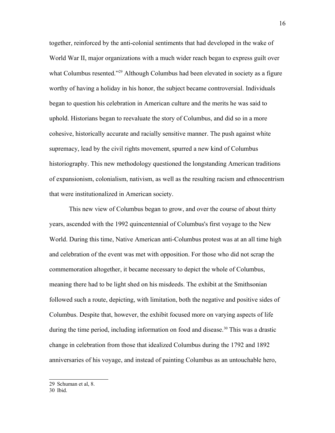together, reinforced by the anti-colonial sentiments that had developed in the wake of World War II, major organizations with a much wider reach began to express guilt over what Columbus resented."<sup>[29](#page-19-0)</sup> Although Columbus had been elevated in society as a figure worthy of having a holiday in his honor, the subject became controversial. Individuals began to question his celebration in American culture and the merits he was said to uphold. Historians began to reevaluate the story of Columbus, and did so in a more cohesive, historically accurate and racially sensitive manner. The push against white supremacy, lead by the civil rights movement, spurred a new kind of Columbus historiography. This new methodology questioned the longstanding American traditions of expansionism, colonialism, nativism, as well as the resulting racism and ethnocentrism that were institutionalized in American society.

This new view of Columbus began to grow, and over the course of about thirty years, ascended with the 1992 quincentennial of Columbus's first voyage to the New World. During this time, Native American anti-Columbus protest was at an all time high and celebration of the event was met with opposition. For those who did not scrap the commemoration altogether, it became necessary to depict the whole of Columbus, meaning there had to be light shed on his misdeeds. The exhibit at the Smithsonian followed such a route, depicting, with limitation, both the negative and positive sides of Columbus. Despite that, however, the exhibit focused more on varying aspects of life during the time period, including information on food and disease.<sup>[30](#page-19-1)</sup> This was a drastic change in celebration from those that idealized Columbus during the 1792 and 1892 anniversaries of his voyage, and instead of painting Columbus as an untouchable hero,

<span id="page-19-1"></span><span id="page-19-0"></span>30 Ibid.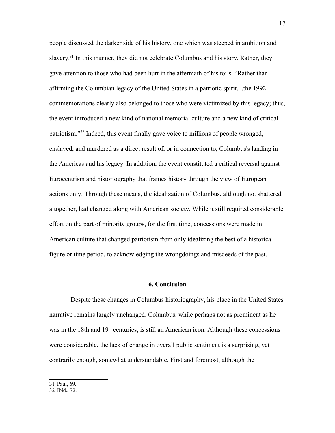people discussed the darker side of his history, one which was steeped in ambition and slavery.<sup>[31](#page-20-0)</sup> In this manner, they did not celebrate Columbus and his story. Rather, they gave attention to those who had been hurt in the aftermath of his toils. "Rather than affirming the Columbian legacy of the United States in a patriotic spirit....the 1992 commemorations clearly also belonged to those who were victimized by this legacy; thus, the event introduced a new kind of national memorial culture and a new kind of critical patriotism."[32](#page-20-1) Indeed, this event finally gave voice to millions of people wronged, enslaved, and murdered as a direct result of, or in connection to, Columbus's landing in the Americas and his legacy. In addition, the event constituted a critical reversal against Eurocentrism and historiography that frames history through the view of European actions only. Through these means, the idealization of Columbus, although not shattered altogether, had changed along with American society. While it still required considerable effort on the part of minority groups, for the first time, concessions were made in American culture that changed patriotism from only idealizing the best of a historical figure or time period, to acknowledging the wrongdoings and misdeeds of the past.

#### **6. Conclusion**

 Despite these changes in Columbus historiography, his place in the United States narrative remains largely unchanged. Columbus, while perhaps not as prominent as he was in the 18th and  $19<sup>th</sup>$  centuries, is still an American icon. Although these concessions were considerable, the lack of change in overall public sentiment is a surprising, yet contrarily enough, somewhat understandable. First and foremost, although the

<span id="page-20-0"></span><sup>31</sup> Paul, 69.

<span id="page-20-1"></span><sup>32</sup> Ibid., 72.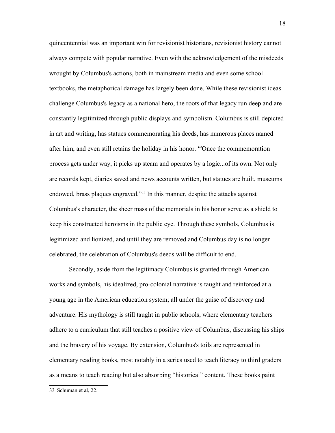quincentennial was an important win for revisionist historians, revisionist history cannot always compete with popular narrative. Even with the acknowledgement of the misdeeds wrought by Columbus's actions, both in mainstream media and even some school textbooks, the metaphorical damage has largely been done. While these revisionist ideas challenge Columbus's legacy as a national hero, the roots of that legacy run deep and are constantly legitimized through public displays and symbolism. Columbus is still depicted in art and writing, has statues commemorating his deeds, has numerous places named after him, and even still retains the holiday in his honor. "'Once the commemoration process gets under way, it picks up steam and operates by a logic...of its own. Not only are records kept, diaries saved and news accounts written, but statues are built, museums endowed, brass plaques engraved."[33](#page-21-0) In this manner, despite the attacks against Columbus's character, the sheer mass of the memorials in his honor serve as a shield to keep his constructed heroisms in the public eye. Through these symbols, Columbus is legitimized and lionized, and until they are removed and Columbus day is no longer celebrated, the celebration of Columbus's deeds will be difficult to end.

Secondly, aside from the legitimacy Columbus is granted through American works and symbols, his idealized, pro-colonial narrative is taught and reinforced at a young age in the American education system; all under the guise of discovery and adventure. His mythology is still taught in public schools, where elementary teachers adhere to a curriculum that still teaches a positive view of Columbus, discussing his ships and the bravery of his voyage. By extension, Columbus's toils are represented in elementary reading books, most notably in a series used to teach literacy to third graders as a means to teach reading but also absorbing "historical" content. These books paint

<span id="page-21-0"></span><sup>33</sup> Schuman et al, 22.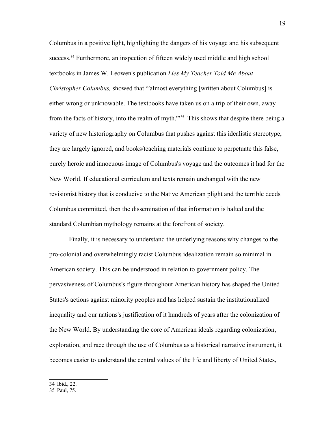Columbus in a positive light, highlighting the dangers of his voyage and his subsequent success.<sup>[34](#page-22-0)</sup> Furthermore, an inspection of fifteen widely used middle and high school textbooks in James W. Leowen's publication *Lies My Teacher Told Me About Christopher Columbus,* showed that "'almost everything [written about Columbus] is either wrong or unknowable. The textbooks have taken us on a trip of their own, away from the facts of history, into the realm of myth."<sup>[35](#page-22-1)</sup> This shows that despite there being a variety of new historiography on Columbus that pushes against this idealistic stereotype, they are largely ignored, and books/teaching materials continue to perpetuate this false, purely heroic and innocuous image of Columbus's voyage and the outcomes it had for the New World. If educational curriculum and texts remain unchanged with the new revisionist history that is conducive to the Native American plight and the terrible deeds Columbus committed, then the dissemination of that information is halted and the standard Columbian mythology remains at the forefront of society.

<span id="page-22-1"></span><span id="page-22-0"></span>Finally, it is necessary to understand the underlying reasons why changes to the pro-colonial and overwhelmingly racist Columbus idealization remain so minimal in American society. This can be understood in relation to government policy. The pervasiveness of Columbus's figure throughout American history has shaped the United States's actions against minority peoples and has helped sustain the institutionalized inequality and our nations's justification of it hundreds of years after the colonization of the New World. By understanding the core of American ideals regarding colonization, exploration, and race through the use of Columbus as a historical narrative instrument, it becomes easier to understand the central values of the life and liberty of United States,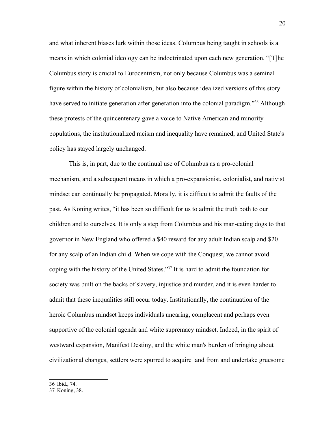and what inherent biases lurk within those ideas. Columbus being taught in schools is a means in which colonial ideology can be indoctrinated upon each new generation. "[T]he Columbus story is crucial to Eurocentrism, not only because Columbus was a seminal figure within the history of colonialism, but also because idealized versions of this story have served to initiate generation after generation into the colonial paradigm."<sup>[36](#page-23-0)</sup> Although these protests of the quincentenary gave a voice to Native American and minority populations, the institutionalized racism and inequality have remained, and United State's policy has stayed largely unchanged.

<span id="page-23-1"></span><span id="page-23-0"></span>This is, in part, due to the continual use of Columbus as a pro-colonial mechanism, and a subsequent means in which a pro-expansionist, colonialist, and nativist mindset can continually be propagated. Morally, it is difficult to admit the faults of the past. As Koning writes, "it has been so difficult for us to admit the truth both to our children and to ourselves. It is only a step from Columbus and his man-eating dogs to that governor in New England who offered a \$40 reward for any adult Indian scalp and \$20 for any scalp of an Indian child. When we cope with the Conquest, we cannot avoid coping with the history of the United States."[37](#page-23-1) It is hard to admit the foundation for society was built on the backs of slavery, injustice and murder, and it is even harder to admit that these inequalities still occur today. Institutionally, the continuation of the heroic Columbus mindset keeps individuals uncaring, complacent and perhaps even supportive of the colonial agenda and white supremacy mindset. Indeed, in the spirit of westward expansion, Manifest Destiny, and the white man's burden of bringing about civilizational changes, settlers were spurred to acquire land from and undertake gruesome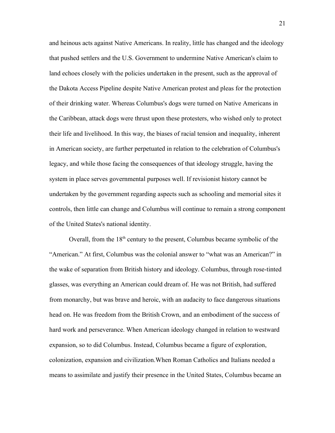and heinous acts against Native Americans. In reality, little has changed and the ideology that pushed settlers and the U.S. Government to undermine Native American's claim to land echoes closely with the policies undertaken in the present, such as the approval of the Dakota Access Pipeline despite Native American protest and pleas for the protection of their drinking water. Whereas Columbus's dogs were turned on Native Americans in the Caribbean, attack dogs were thrust upon these protesters, who wished only to protect their life and livelihood. In this way, the biases of racial tension and inequality, inherent in American society, are further perpetuated in relation to the celebration of Columbus's legacy, and while those facing the consequences of that ideology struggle, having the system in place serves governmental purposes well. If revisionist history cannot be undertaken by the government regarding aspects such as schooling and memorial sites it controls, then little can change and Columbus will continue to remain a strong component of the United States's national identity.

Overall, from the  $18<sup>th</sup>$  century to the present, Columbus became symbolic of the "American." At first, Columbus was the colonial answer to "what was an American?" in the wake of separation from British history and ideology. Columbus, through rose-tinted glasses, was everything an American could dream of. He was not British, had suffered from monarchy, but was brave and heroic, with an audacity to face dangerous situations head on. He was freedom from the British Crown, and an embodiment of the success of hard work and perseverance. When American ideology changed in relation to westward expansion, so to did Columbus. Instead, Columbus became a figure of exploration, colonization, expansion and civilization.When Roman Catholics and Italians needed a means to assimilate and justify their presence in the United States, Columbus became an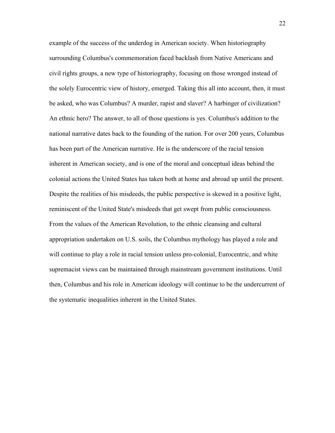example of the success of the underdog in American society. When historiography surrounding Columbus's commemoration faced backlash from Native Americans and civil rights groups, a new type of historiography, focusing on those wronged instead of the solely Eurocentric view of history, emerged. Taking this all into account, then, it must be asked, who was Columbus? A murder, rapist and slaver? A harbinger of civilization? An ethnic hero? The answer, to all of those questions is yes. Columbus's addition to the national narrative dates back to the founding of the nation. For over 200 years, Columbus has been part of the American narrative. He is the underscore of the racial tension inherent in American society, and is one of the moral and conceptual ideas behind the colonial actions the United States has taken both at home and abroad up until the present. Despite the realities of his misdeeds, the public perspective is skewed in a positive light, reminiscent of the United State's misdeeds that get swept from public consciousness. From the values of the American Revolution, to the ethnic cleansing and cultural appropriation undertaken on U.S. soils, the Columbus mythology has played a role and will continue to play a role in racial tension unless pro-colonial, Eurocentric, and white supremacist views can be maintained through mainstream government institutions. Until then, Columbus and his role in American ideology will continue to be the undercurrent of the systematic inequalities inherent in the United States.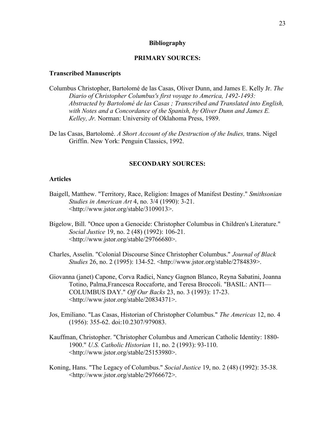#### **Bibliography**

#### **PRIMARY SOURCES:**

#### **Transcribed Manuscripts**

- Columbus Christopher, Bartolomé de las Casas, Oliver Dunn, and James E. Kelly Jr. *The Diario of Christopher Columbus's first voyage to America, 1492-1493: Abstracted by Bartolomé de las Casas ; Transcribed and Translated into English, with Notes and a Concordance of the Spanish, by Oliver Dunn and James E. Kelley, Jr.* Norman: University of Oklahoma Press, 1989.
- De las Casas, Bartolomé. *A Short Account of the Destruction of the Indies,* trans. Nigel Griffin. New York: Penguin Classics, 1992.

#### **SECONDARY SOURCES:**

#### **Articles**

- Baigell, Matthew. "Territory, Race, Religion: Images of Manifest Destiny." *Smithsonian Studies in American Art* 4, no. 3/4 (1990): 3-21. <http://www.jstor.org/stable/3109013>.
- Bigelow, Bill. "Once upon a Genocide: Christopher Columbus in Children's Literature." *Social Justice* 19, no. 2 (48) (1992): 106-21. <http://www.jstor.org/stable/29766680>.
- Charles, Asselin. "Colonial Discourse Since Christopher Columbus." *Journal of Black Studies* 26, no. 2 (1995): 134-52. <http://www.jstor.org/stable/2784839>.
- Giovanna (janet) Capone, Corva Radici, Nancy Gagnon Blanco, Reyna Sabatini, Joanna Totino, Palma,Francesca Roccaforte, and Teresa Broccoli. "BASIL: ANTI— COLUMBUS DAY." *Off Our Backs* 23, no. 3 (1993): 17-23. <http://www.jstor.org/stable/20834371>.
- Jos, Emiliano. "Las Casas, Historian of Christopher Columbus." *The Americas* 12, no. 4 (1956): 355-62. doi:10.2307/979083.
- Kauffman, Christopher. "Christopher Columbus and American Catholic Identity: 1880- 1900." *U.S. Catholic Historian* 11, no. 2 (1993): 93-110. <http://www.jstor.org/stable/25153980>.
- Koning, Hans. "The Legacy of Columbus." *Social Justice* 19, no. 2 (48) (1992): 35-38. <http://www.jstor.org/stable/29766672>.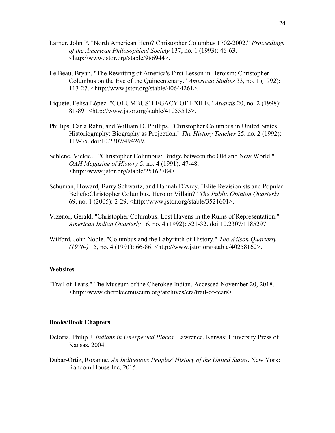- Larner, John P. "North American Hero? Christopher Columbus 1702-2002." *Proceedings of the American Philosophical Society* 137, no. 1 (1993): 46-63. <http://www.jstor.org/stable/986944>.
- Le Beau, Bryan. "The Rewriting of America's First Lesson in Heroism: Christopher Columbus on the Eve of the Quincentenary." *American Studies* 33, no. 1 (1992): 113-27. <http://www.jstor.org/stable/40644261>.
- Liquete, Felisa López. "COLUMBUS' LEGACY OF EXILE." *Atlantis* 20, no. 2 (1998): 81-89. <http://www.jstor.org/stable/41055515>.
- Phillips, Carla Rahn, and William D. Phillips. "Christopher Columbus in United States Historiography: Biography as Projection." *The History Teacher* 25, no. 2 (1992): 119-35. doi:10.2307/494269.
- Schlene, Vickie J. "Christopher Columbus: Bridge between the Old and New World." *OAH Magazine of History* 5, no. 4 (1991): 47-48. <http://www.jstor.org/stable/25162784>.
- Schuman, Howard, Barry Schwartz, and Hannah D'Arcy. "Elite Revisionists and Popular Beliefs:Christopher Columbus, Hero or Villain?" *The Public Opinion Quarterly* 69, no. 1 (2005): 2-29. <http://www.jstor.org/stable/3521601>.
- Vizenor, Gerald. "Christopher Columbus: Lost Havens in the Ruins of Representation." *American Indian Quarterly* 16, no. 4 (1992): 521-32. doi:10.2307/1185297.
- Wilford, John Noble. "Columbus and the Labyrinth of History." *The Wilson Quarterly (1976-)* 15, no. 4 (1991): 66-86. <http://www.jstor.org/stable/40258162>.

#### **Websites**

"Trail of Tears." The Museum of the Cherokee Indian. Accessed November 20, 2018. <http://www.cherokeemuseum.org/archives/era/trail-of-tears>.

#### **Books/Book Chapters**

- Deloria, Philip J. *Indians in Unexpected Places.* Lawrence, Kansas: University Press of Kansas, 2004.
- Dubar-Ortiz, Roxanne. *An Indigenous Peoples' History of the United States*. New York: Random House Inc, 2015.